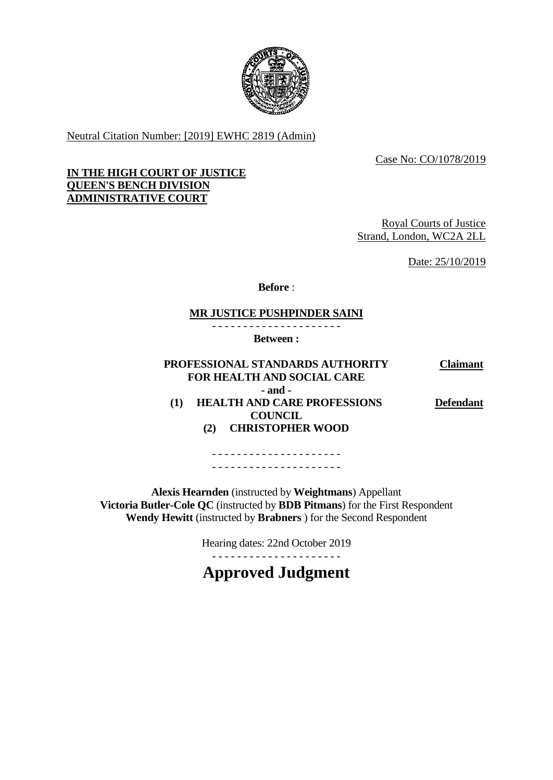

Neutral Citation Number: [2019] EWHC 2819 (Admin)

Case No: CO/1078/2019

#### **IN THE HIGH COURT OF JUSTICE QUEEN'S BENCH DIVISION ADMINISTRATIVE COURT**

Royal Courts of Justice Strand, London, WC2A 2LL

Date: 25/10/2019

**Before** :

### **MR JUSTICE PUSHPINDER SAINI**

- - - - - - - - - - - - - - - - - - - - -

**Between :**

#### **PROFESSIONAL STANDARDS AUTHORITY FOR HEALTH AND SOCIAL CARE Claimant - and - (1) HEALTH AND CARE PROFESSIONS COUNCIL (2) CHRISTOPHER WOOD Defendant**

- - - - - - - - - - - - - - - - - - - - - - - - - - - - - - - - - - - - - - - - - -

**Alexis Hearnden** (instructed by **Weightmans**) Appellant **Victoria Butler-Cole QC** (instructed by **BDB Pitmans**) for the First Respondent **Wendy Hewitt** (instructed by **Brabners** ) for the Second Respondent

Hearing dates: 22nd October 2019

- - - - - - - - - - - - - - - - - - - - -

**Approved Judgment**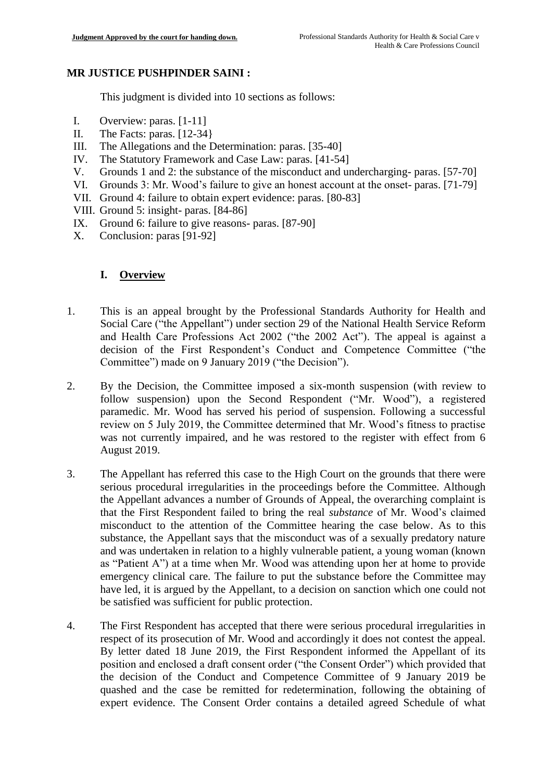### **MR JUSTICE PUSHPINDER SAINI :**

This judgment is divided into 10 sections as follows:

- I. Overview: paras. [1-11]
- II. The Facts: paras. [12-34}
- III. The Allegations and the Determination: paras. [35-40]
- IV. The Statutory Framework and Case Law: paras. [41-54]
- V. Grounds 1 and 2: the substance of the misconduct and undercharging- paras. [57-70]
- VI. Grounds 3: Mr. Wood's failure to give an honest account at the onset- paras. [71-79]
- VII. Ground 4: failure to obtain expert evidence: paras. [80-83]
- VIII. Ground 5: insight- paras. [84-86]
- IX. Ground 6: failure to give reasons- paras. [87-90]
- X. Conclusion: paras [91-92]

## **I. Overview**

- 1. This is an appeal brought by the Professional Standards Authority for Health and Social Care ("the Appellant") under section 29 of the National Health Service Reform and Health Care Professions Act 2002 ("the 2002 Act"). The appeal is against a decision of the First Respondent's Conduct and Competence Committee ("the Committee") made on 9 January 2019 ("the Decision").
- 2. By the Decision, the Committee imposed a six-month suspension (with review to follow suspension) upon the Second Respondent ("Mr. Wood"), a registered paramedic. Mr. Wood has served his period of suspension. Following a successful review on 5 July 2019, the Committee determined that Mr. Wood's fitness to practise was not currently impaired, and he was restored to the register with effect from 6 August 2019.
- 3. The Appellant has referred this case to the High Court on the grounds that there were serious procedural irregularities in the proceedings before the Committee. Although the Appellant advances a number of Grounds of Appeal, the overarching complaint is that the First Respondent failed to bring the real *substance* of Mr. Wood's claimed misconduct to the attention of the Committee hearing the case below. As to this substance, the Appellant says that the misconduct was of a sexually predatory nature and was undertaken in relation to a highly vulnerable patient, a young woman (known as "Patient A") at a time when Mr. Wood was attending upon her at home to provide emergency clinical care. The failure to put the substance before the Committee may have led, it is argued by the Appellant, to a decision on sanction which one could not be satisfied was sufficient for public protection.
- 4. The First Respondent has accepted that there were serious procedural irregularities in respect of its prosecution of Mr. Wood and accordingly it does not contest the appeal. By letter dated 18 June 2019, the First Respondent informed the Appellant of its position and enclosed a draft consent order ("the Consent Order") which provided that the decision of the Conduct and Competence Committee of 9 January 2019 be quashed and the case be remitted for redetermination, following the obtaining of expert evidence. The Consent Order contains a detailed agreed Schedule of what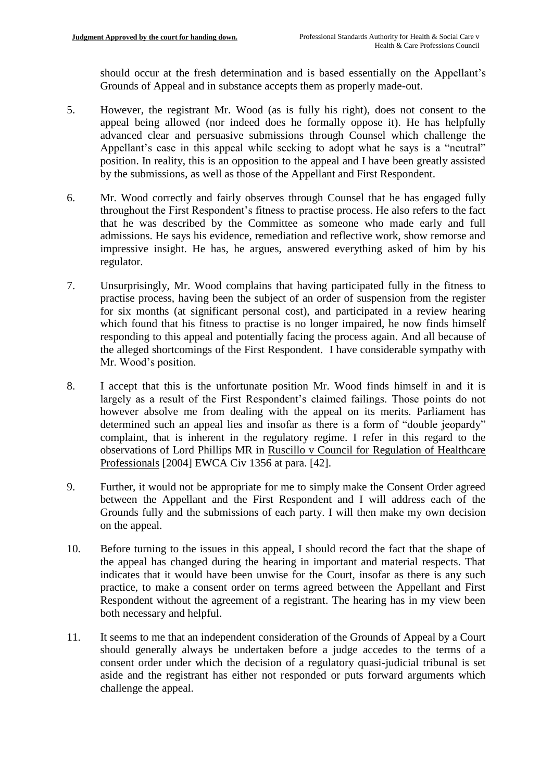should occur at the fresh determination and is based essentially on the Appellant's Grounds of Appeal and in substance accepts them as properly made-out.

- 5. However, the registrant Mr. Wood (as is fully his right), does not consent to the appeal being allowed (nor indeed does he formally oppose it). He has helpfully advanced clear and persuasive submissions through Counsel which challenge the Appellant's case in this appeal while seeking to adopt what he says is a "neutral" position. In reality, this is an opposition to the appeal and I have been greatly assisted by the submissions, as well as those of the Appellant and First Respondent.
- 6. Mr. Wood correctly and fairly observes through Counsel that he has engaged fully throughout the First Respondent's fitness to practise process. He also refers to the fact that he was described by the Committee as someone who made early and full admissions. He says his evidence, remediation and reflective work, show remorse and impressive insight. He has, he argues, answered everything asked of him by his regulator.
- 7. Unsurprisingly, Mr. Wood complains that having participated fully in the fitness to practise process, having been the subject of an order of suspension from the register for six months (at significant personal cost), and participated in a review hearing which found that his fitness to practise is no longer impaired, he now finds himself responding to this appeal and potentially facing the process again. And all because of the alleged shortcomings of the First Respondent. I have considerable sympathy with Mr. Wood's position.
- 8. I accept that this is the unfortunate position Mr. Wood finds himself in and it is largely as a result of the First Respondent's claimed failings. Those points do not however absolve me from dealing with the appeal on its merits. Parliament has determined such an appeal lies and insofar as there is a form of "double jeopardy" complaint, that is inherent in the regulatory regime. I refer in this regard to the observations of Lord Phillips MR in Ruscillo v Council for Regulation of Healthcare Professionals [2004] EWCA Civ 1356 at para. [42].
- 9. Further, it would not be appropriate for me to simply make the Consent Order agreed between the Appellant and the First Respondent and I will address each of the Grounds fully and the submissions of each party. I will then make my own decision on the appeal.
- 10. Before turning to the issues in this appeal, I should record the fact that the shape of the appeal has changed during the hearing in important and material respects. That indicates that it would have been unwise for the Court, insofar as there is any such practice, to make a consent order on terms agreed between the Appellant and First Respondent without the agreement of a registrant. The hearing has in my view been both necessary and helpful.
- 11. It seems to me that an independent consideration of the Grounds of Appeal by a Court should generally always be undertaken before a judge accedes to the terms of a consent order under which the decision of a regulatory quasi-judicial tribunal is set aside and the registrant has either not responded or puts forward arguments which challenge the appeal.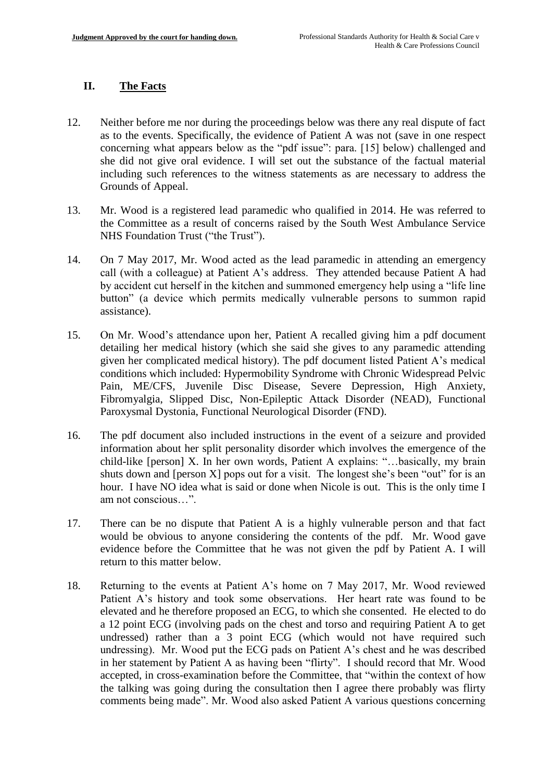### **II. The Facts**

- 12. Neither before me nor during the proceedings below was there any real dispute of fact as to the events. Specifically, the evidence of Patient A was not (save in one respect concerning what appears below as the "pdf issue": para. [15] below) challenged and she did not give oral evidence. I will set out the substance of the factual material including such references to the witness statements as are necessary to address the Grounds of Appeal.
- 13. Mr. Wood is a registered lead paramedic who qualified in 2014. He was referred to the Committee as a result of concerns raised by the South West Ambulance Service NHS Foundation Trust ("the Trust").
- 14. On 7 May 2017, Mr. Wood acted as the lead paramedic in attending an emergency call (with a colleague) at Patient A's address. They attended because Patient A had by accident cut herself in the kitchen and summoned emergency help using a "life line button" (a device which permits medically vulnerable persons to summon rapid assistance).
- 15. On Mr. Wood's attendance upon her, Patient A recalled giving him a pdf document detailing her medical history (which she said she gives to any paramedic attending given her complicated medical history). The pdf document listed Patient A's medical conditions which included: Hypermobility Syndrome with Chronic Widespread Pelvic Pain, ME/CFS, Juvenile Disc Disease, Severe Depression, High Anxiety, Fibromyalgia, Slipped Disc, Non-Epileptic Attack Disorder (NEAD), Functional Paroxysmal Dystonia, Functional Neurological Disorder (FND).
- 16. The pdf document also included instructions in the event of a seizure and provided information about her split personality disorder which involves the emergence of the child-like [person] X. In her own words, Patient A explains: "…basically, my brain shuts down and [person X] pops out for a visit. The longest she's been "out" for is an hour. I have NO idea what is said or done when Nicole is out. This is the only time I am not conscious…".
- 17. There can be no dispute that Patient A is a highly vulnerable person and that fact would be obvious to anyone considering the contents of the pdf. Mr. Wood gave evidence before the Committee that he was not given the pdf by Patient A. I will return to this matter below.
- 18. Returning to the events at Patient A's home on 7 May 2017, Mr. Wood reviewed Patient A's history and took some observations. Her heart rate was found to be elevated and he therefore proposed an ECG, to which she consented. He elected to do a 12 point ECG (involving pads on the chest and torso and requiring Patient A to get undressed) rather than a 3 point ECG (which would not have required such undressing). Mr. Wood put the ECG pads on Patient A's chest and he was described in her statement by Patient A as having been "flirty". I should record that Mr. Wood accepted, in cross-examination before the Committee, that "within the context of how the talking was going during the consultation then I agree there probably was flirty comments being made". Mr. Wood also asked Patient A various questions concerning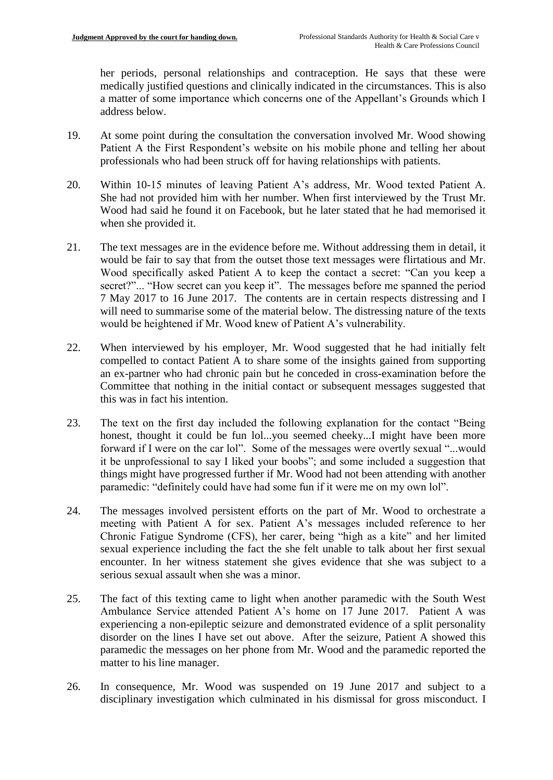her periods, personal relationships and contraception. He says that these were medically justified questions and clinically indicated in the circumstances. This is also a matter of some importance which concerns one of the Appellant's Grounds which I address below.

- 19. At some point during the consultation the conversation involved Mr. Wood showing Patient A the First Respondent's website on his mobile phone and telling her about professionals who had been struck off for having relationships with patients.
- 20. Within 10-15 minutes of leaving Patient A's address, Mr. Wood texted Patient A. She had not provided him with her number. When first interviewed by the Trust Mr. Wood had said he found it on Facebook, but he later stated that he had memorised it when she provided it.
- 21. The text messages are in the evidence before me. Without addressing them in detail, it would be fair to say that from the outset those text messages were flirtatious and Mr. Wood specifically asked Patient A to keep the contact a secret: "Can you keep a secret?"... "How secret can you keep it". The messages before me spanned the period 7 May 2017 to 16 June 2017. The contents are in certain respects distressing and I will need to summarise some of the material below. The distressing nature of the texts would be heightened if Mr. Wood knew of Patient A's vulnerability.
- 22. When interviewed by his employer, Mr. Wood suggested that he had initially felt compelled to contact Patient A to share some of the insights gained from supporting an ex-partner who had chronic pain but he conceded in cross-examination before the Committee that nothing in the initial contact or subsequent messages suggested that this was in fact his intention.
- 23. The text on the first day included the following explanation for the contact "Being honest, thought it could be fun lol...you seemed cheeky...I might have been more forward if I were on the car lol". Some of the messages were overtly sexual "...would it be unprofessional to say I liked your boobs"; and some included a suggestion that things might have progressed further if Mr. Wood had not been attending with another paramedic: "definitely could have had some fun if it were me on my own lol".
- 24. The messages involved persistent efforts on the part of Mr. Wood to orchestrate a meeting with Patient A for sex. Patient A's messages included reference to her Chronic Fatigue Syndrome (CFS), her carer, being "high as a kite" and her limited sexual experience including the fact the she felt unable to talk about her first sexual encounter. In her witness statement she gives evidence that she was subject to a serious sexual assault when she was a minor.
- 25. The fact of this texting came to light when another paramedic with the South West Ambulance Service attended Patient A's home on 17 June 2017. Patient A was experiencing a non-epileptic seizure and demonstrated evidence of a split personality disorder on the lines I have set out above. After the seizure, Patient A showed this paramedic the messages on her phone from Mr. Wood and the paramedic reported the matter to his line manager.
- 26. In consequence, Mr. Wood was suspended on 19 June 2017 and subject to a disciplinary investigation which culminated in his dismissal for gross misconduct. I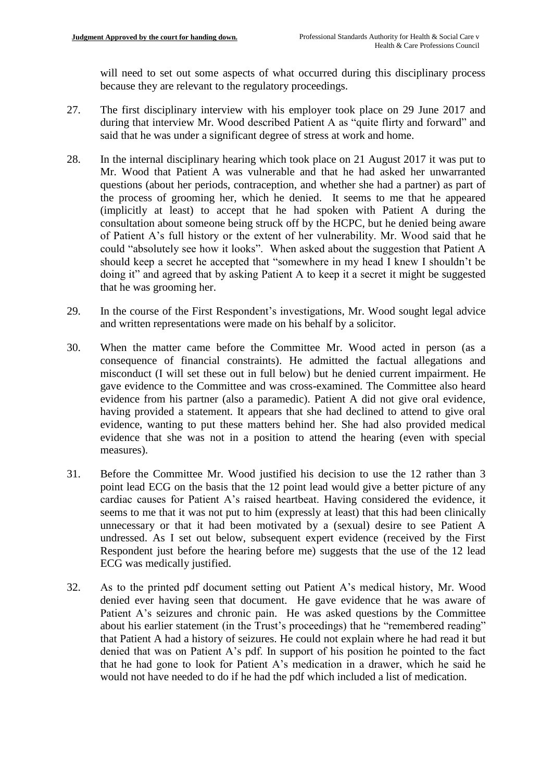will need to set out some aspects of what occurred during this disciplinary process because they are relevant to the regulatory proceedings.

- 27. The first disciplinary interview with his employer took place on 29 June 2017 and during that interview Mr. Wood described Patient A as "quite flirty and forward" and said that he was under a significant degree of stress at work and home.
- 28. In the internal disciplinary hearing which took place on 21 August 2017 it was put to Mr. Wood that Patient A was vulnerable and that he had asked her unwarranted questions (about her periods, contraception, and whether she had a partner) as part of the process of grooming her, which he denied. It seems to me that he appeared (implicitly at least) to accept that he had spoken with Patient A during the consultation about someone being struck off by the HCPC, but he denied being aware of Patient A's full history or the extent of her vulnerability. Mr. Wood said that he could "absolutely see how it looks". When asked about the suggestion that Patient A should keep a secret he accepted that "somewhere in my head I knew I shouldn't be doing it" and agreed that by asking Patient A to keep it a secret it might be suggested that he was grooming her.
- 29. In the course of the First Respondent's investigations, Mr. Wood sought legal advice and written representations were made on his behalf by a solicitor.
- 30. When the matter came before the Committee Mr. Wood acted in person (as a consequence of financial constraints). He admitted the factual allegations and misconduct (I will set these out in full below) but he denied current impairment. He gave evidence to the Committee and was cross-examined. The Committee also heard evidence from his partner (also a paramedic). Patient A did not give oral evidence, having provided a statement. It appears that she had declined to attend to give oral evidence, wanting to put these matters behind her. She had also provided medical evidence that she was not in a position to attend the hearing (even with special measures).
- 31. Before the Committee Mr. Wood justified his decision to use the 12 rather than 3 point lead ECG on the basis that the 12 point lead would give a better picture of any cardiac causes for Patient A's raised heartbeat. Having considered the evidence, it seems to me that it was not put to him (expressly at least) that this had been clinically unnecessary or that it had been motivated by a (sexual) desire to see Patient A undressed. As I set out below, subsequent expert evidence (received by the First Respondent just before the hearing before me) suggests that the use of the 12 lead ECG was medically justified.
- 32. As to the printed pdf document setting out Patient A's medical history, Mr. Wood denied ever having seen that document. He gave evidence that he was aware of Patient A's seizures and chronic pain. He was asked questions by the Committee about his earlier statement (in the Trust's proceedings) that he "remembered reading" that Patient A had a history of seizures. He could not explain where he had read it but denied that was on Patient A's pdf. In support of his position he pointed to the fact that he had gone to look for Patient A's medication in a drawer, which he said he would not have needed to do if he had the pdf which included a list of medication.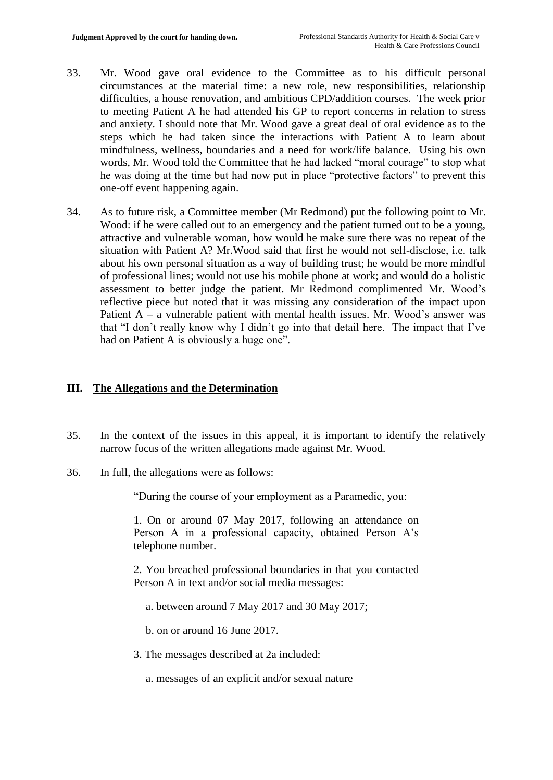- 33. Mr. Wood gave oral evidence to the Committee as to his difficult personal circumstances at the material time: a new role, new responsibilities, relationship difficulties, a house renovation, and ambitious CPD/addition courses. The week prior to meeting Patient A he had attended his GP to report concerns in relation to stress and anxiety. I should note that Mr. Wood gave a great deal of oral evidence as to the steps which he had taken since the interactions with Patient A to learn about mindfulness, wellness, boundaries and a need for work/life balance. Using his own words, Mr. Wood told the Committee that he had lacked "moral courage" to stop what he was doing at the time but had now put in place "protective factors" to prevent this one-off event happening again.
- 34. As to future risk, a Committee member (Mr Redmond) put the following point to Mr. Wood: if he were called out to an emergency and the patient turned out to be a young, attractive and vulnerable woman, how would he make sure there was no repeat of the situation with Patient A? Mr.Wood said that first he would not self-disclose, i.e. talk about his own personal situation as a way of building trust; he would be more mindful of professional lines; would not use his mobile phone at work; and would do a holistic assessment to better judge the patient. Mr Redmond complimented Mr. Wood's reflective piece but noted that it was missing any consideration of the impact upon Patient  $A - a$  vulnerable patient with mental health issues. Mr. Wood's answer was that "I don't really know why I didn't go into that detail here. The impact that I've had on Patient A is obviously a huge one".

#### **III. The Allegations and the Determination**

- 35. In the context of the issues in this appeal, it is important to identify the relatively narrow focus of the written allegations made against Mr. Wood.
- 36. In full, the allegations were as follows:

"During the course of your employment as a Paramedic, you:

1. On or around 07 May 2017, following an attendance on Person A in a professional capacity, obtained Person A's telephone number.

2. You breached professional boundaries in that you contacted Person A in text and/or social media messages:

a. between around 7 May 2017 and 30 May 2017;

b. on or around 16 June 2017.

- 3. The messages described at 2a included:
	- a. messages of an explicit and/or sexual nature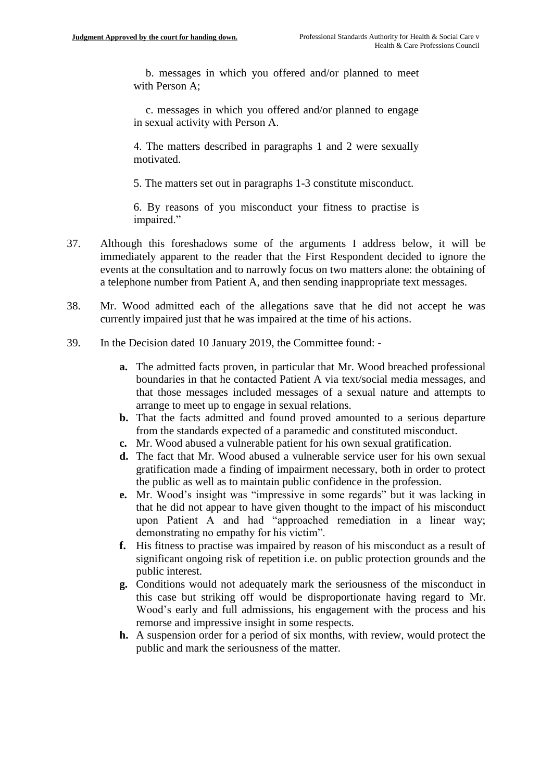b. messages in which you offered and/or planned to meet with Person A;

c. messages in which you offered and/or planned to engage in sexual activity with Person A.

4. The matters described in paragraphs 1 and 2 were sexually motivated.

5. The matters set out in paragraphs 1-3 constitute misconduct.

6. By reasons of you misconduct your fitness to practise is impaired."

- 37. Although this foreshadows some of the arguments I address below, it will be immediately apparent to the reader that the First Respondent decided to ignore the events at the consultation and to narrowly focus on two matters alone: the obtaining of a telephone number from Patient A, and then sending inappropriate text messages.
- 38. Mr. Wood admitted each of the allegations save that he did not accept he was currently impaired just that he was impaired at the time of his actions.
- 39. In the Decision dated 10 January 2019, the Committee found:
	- **a.** The admitted facts proven, in particular that Mr. Wood breached professional boundaries in that he contacted Patient A via text/social media messages, and that those messages included messages of a sexual nature and attempts to arrange to meet up to engage in sexual relations.
	- **b.** That the facts admitted and found proved amounted to a serious departure from the standards expected of a paramedic and constituted misconduct.
	- **c.** Mr. Wood abused a vulnerable patient for his own sexual gratification.
	- **d.** The fact that Mr. Wood abused a vulnerable service user for his own sexual gratification made a finding of impairment necessary, both in order to protect the public as well as to maintain public confidence in the profession.
	- **e.** Mr. Wood's insight was "impressive in some regards" but it was lacking in that he did not appear to have given thought to the impact of his misconduct upon Patient A and had "approached remediation in a linear way; demonstrating no empathy for his victim".
	- **f.** His fitness to practise was impaired by reason of his misconduct as a result of significant ongoing risk of repetition i.e. on public protection grounds and the public interest.
	- **g.** Conditions would not adequately mark the seriousness of the misconduct in this case but striking off would be disproportionate having regard to Mr. Wood's early and full admissions, his engagement with the process and his remorse and impressive insight in some respects.
	- **h.** A suspension order for a period of six months, with review, would protect the public and mark the seriousness of the matter.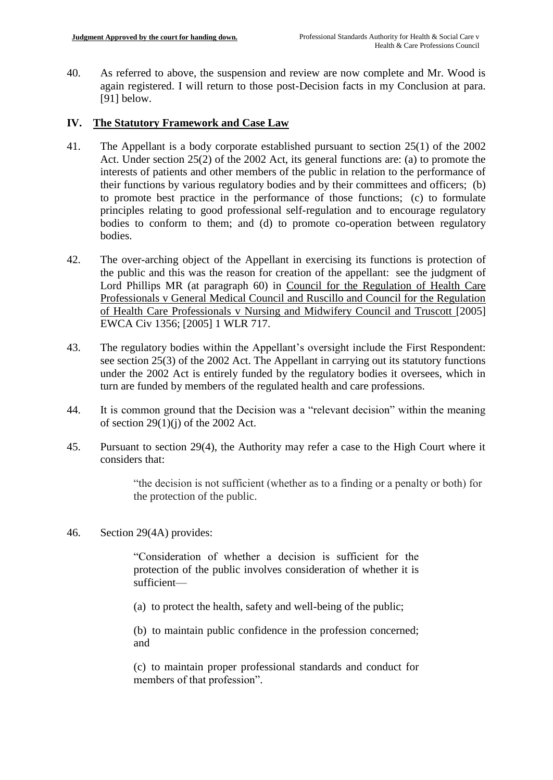40. As referred to above, the suspension and review are now complete and Mr. Wood is again registered. I will return to those post-Decision facts in my Conclusion at para. [91] below.

### **IV. The Statutory Framework and Case Law**

- 41. The Appellant is a body corporate established pursuant to section 25(1) of the 2002 Act. Under section 25(2) of the 2002 Act, its general functions are: (a) to promote the interests of patients and other members of the public in relation to the performance of their functions by various regulatory bodies and by their committees and officers; (b) to promote best practice in the performance of those functions; (c) to formulate principles relating to good professional self-regulation and to encourage regulatory bodies to conform to them; and (d) to promote co-operation between regulatory bodies.
- 42. The over-arching object of the Appellant in exercising its functions is protection of the public and this was the reason for creation of the appellant: see the judgment of Lord Phillips MR (at paragraph 60) in Council for the Regulation of Health Care Professionals v General Medical Council and Ruscillo and Council for the Regulation of Health Care Professionals v Nursing and Midwifery Council and Truscott [2005] EWCA Civ 1356; [2005] 1 WLR 717.
- 43. The regulatory bodies within the Appellant's oversight include the First Respondent: see section 25(3) of the 2002 Act. The Appellant in carrying out its statutory functions under the 2002 Act is entirely funded by the regulatory bodies it oversees, which in turn are funded by members of the regulated health and care professions.
- 44. It is common ground that the Decision was a "relevant decision" within the meaning of section  $29(1)(i)$  of the 2002 Act.
- 45. Pursuant to section 29(4), the Authority may refer a case to the High Court where it considers that:

"the decision is not sufficient (whether as to a finding or a penalty or both) for the protection of the public.

46. Section 29(4A) provides:

"Consideration of whether a decision is sufficient for the protection of the public involves consideration of whether it is sufficient—

(a) to protect the health, safety and well-being of the public;

(b) to maintain public confidence in the profession concerned; and

(c) to maintain proper professional standards and conduct for members of that profession".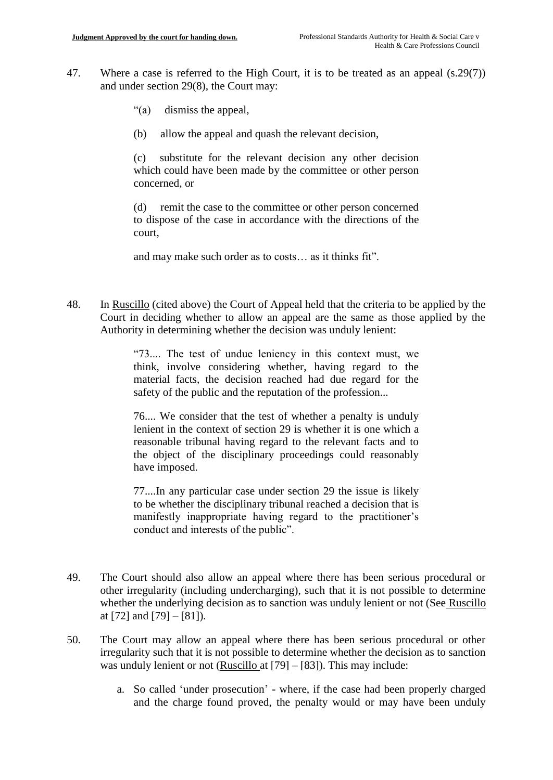- 47. Where a case is referred to the High Court, it is to be treated as an appeal (s.29(7)) and under section 29(8), the Court may:
	- "(a) dismiss the appeal,
	- (b) allow the appeal and quash the relevant decision,

(c) substitute for the relevant decision any other decision which could have been made by the committee or other person concerned, or

(d) remit the case to the committee or other person concerned to dispose of the case in accordance with the directions of the court,

and may make such order as to costs… as it thinks fit".

48. In Ruscillo (cited above) the Court of Appeal held that the criteria to be applied by the Court in deciding whether to allow an appeal are the same as those applied by the Authority in determining whether the decision was unduly lenient:

> "73.... The test of undue leniency in this context must, we think, involve considering whether, having regard to the material facts, the decision reached had due regard for the safety of the public and the reputation of the profession...

> 76.... We consider that the test of whether a penalty is unduly lenient in the context of section 29 is whether it is one which a reasonable tribunal having regard to the relevant facts and to the object of the disciplinary proceedings could reasonably have imposed.

> 77....In any particular case under section 29 the issue is likely to be whether the disciplinary tribunal reached a decision that is manifestly inappropriate having regard to the practitioner's conduct and interests of the public".

- 49. The Court should also allow an appeal where there has been serious procedural or other irregularity (including undercharging), such that it is not possible to determine whether the underlying decision as to sanction was unduly lenient or not (See Ruscillo at [72] and [79]  $-$  [81]).
- 50. The Court may allow an appeal where there has been serious procedural or other irregularity such that it is not possible to determine whether the decision as to sanction was unduly lenient or not (Ruscillo at [79] – [83]). This may include:
	- a. So called 'under prosecution' where, if the case had been properly charged and the charge found proved, the penalty would or may have been unduly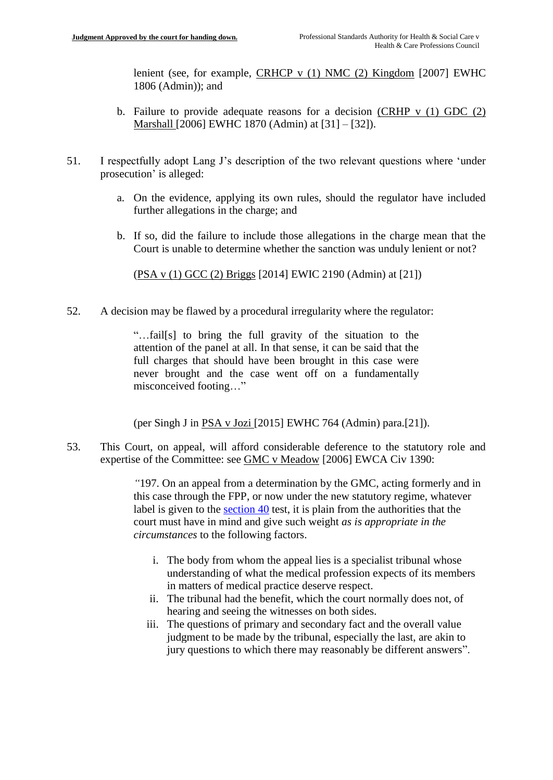lenient (see, for example, CRHCP v (1) NMC (2) Kingdom [2007] EWHC 1806 (Admin)); and

- b. Failure to provide adequate reasons for a decision (CRHP  $v$  (1) GDC (2) Marshall [2006] EWHC 1870 (Admin) at [31] – [32]).
- 51. I respectfully adopt Lang J's description of the two relevant questions where 'under prosecution' is alleged:
	- a. On the evidence, applying its own rules, should the regulator have included further allegations in the charge; and
	- b. If so, did the failure to include those allegations in the charge mean that the Court is unable to determine whether the sanction was unduly lenient or not?

(PSA v (1) GCC (2) Briggs [2014] EWIC 2190 (Admin) at [21])

52. A decision may be flawed by a procedural irregularity where the regulator:

"…fail[s] to bring the full gravity of the situation to the attention of the panel at all. In that sense, it can be said that the full charges that should have been brought in this case were never brought and the case went off on a fundamentally misconceived footing…"

(per Singh J in PSA v Jozi [2015] EWHC 764 (Admin) para.[21]).

53. This Court, on appeal, will afford considerable deference to the statutory role and expertise of the Committee: see GMC v Meadow [2006] EWCA Civ 1390:

> *"*197. On an appeal from a determination by the GMC, acting formerly and in this case through the FPP, or now under the new statutory regime, whatever label is given to the [section 40](https://login.westlaw.co.uk/maf/wluk/app/document?src=doc&linktype=ref&context=36&crumb-action=replace&docguid=I456CC500E44A11DA8D70A0E70A78ED65) test, it is plain from the authorities that the court must have in mind and give such weight *as is appropriate in the circumstances* to the following factors.

- i. The body from whom the appeal lies is a specialist tribunal whose understanding of what the medical profession expects of its members in matters of medical practice deserve respect.
- ii. The tribunal had the benefit, which the court normally does not, of hearing and seeing the witnesses on both sides.
- iii. The questions of primary and secondary fact and the overall value judgment to be made by the tribunal, especially the last, are akin to jury questions to which there may reasonably be different answers".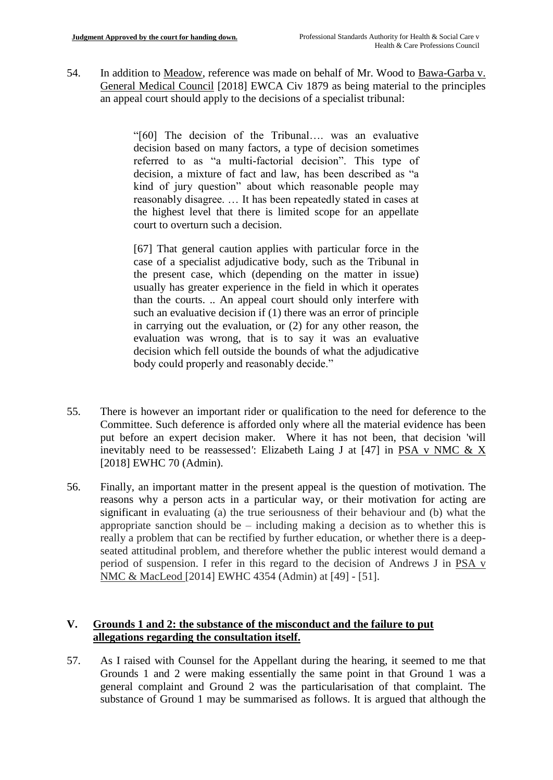54. In addition to Meadow, reference was made on behalf of Mr. Wood to Bawa-Garba v. General Medical Council [2018] EWCA Civ 1879 as being material to the principles an appeal court should apply to the decisions of a specialist tribunal:

> "[60] The decision of the Tribunal…. was an evaluative decision based on many factors, a type of decision sometimes referred to as "a multi-factorial decision". This type of decision, a mixture of fact and law, has been described as "a kind of jury question" about which reasonable people may reasonably disagree. … It has been repeatedly stated in cases at the highest level that there is limited scope for an appellate court to overturn such a decision.

> [67] That general caution applies with particular force in the case of a specialist adjudicative body, such as the Tribunal in the present case, which (depending on the matter in issue) usually has greater experience in the field in which it operates than the courts. .. An appeal court should only interfere with such an evaluative decision if (1) there was an error of principle in carrying out the evaluation, or (2) for any other reason, the evaluation was wrong, that is to say it was an evaluative decision which fell outside the bounds of what the adjudicative body could properly and reasonably decide."

- 55. There is however an important rider or qualification to the need for deference to the Committee. Such deference is afforded only where all the material evidence has been put before an expert decision maker. Where it has not been, that decision 'will inevitably need to be reassessed*'*: Elizabeth Laing J at [47] in PSA v NMC & X [2018] EWHC 70 (Admin).
- 56. Finally, an important matter in the present appeal is the question of motivation. The reasons why a person acts in a particular way, or their motivation for acting are significant in evaluating (a) the true seriousness of their behaviour and (b) what the appropriate sanction should be – including making a decision as to whether this is really a problem that can be rectified by further education, or whether there is a deepseated attitudinal problem, and therefore whether the public interest would demand a period of suspension. I refer in this regard to the decision of Andrews J in PSA v NMC & MacLeod [2014] EWHC 4354 (Admin) at [49] - [51].

## **V. Grounds 1 and 2: the substance of the misconduct and the failure to put allegations regarding the consultation itself.**

57. As I raised with Counsel for the Appellant during the hearing, it seemed to me that Grounds 1 and 2 were making essentially the same point in that Ground 1 was a general complaint and Ground 2 was the particularisation of that complaint. The substance of Ground 1 may be summarised as follows. It is argued that although the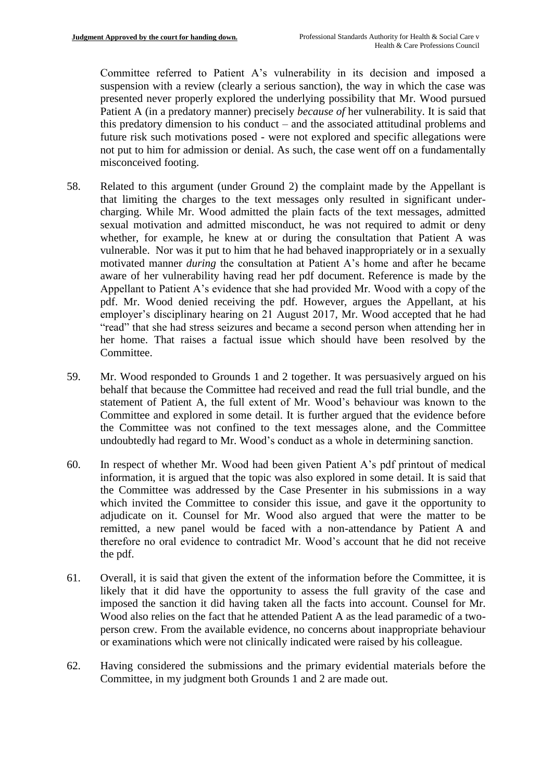Committee referred to Patient A's vulnerability in its decision and imposed a suspension with a review (clearly a serious sanction), the way in which the case was presented never properly explored the underlying possibility that Mr. Wood pursued Patient A (in a predatory manner) precisely *because of* her vulnerability. It is said that this predatory dimension to his conduct – and the associated attitudinal problems and future risk such motivations posed - were not explored and specific allegations were not put to him for admission or denial. As such, the case went off on a fundamentally misconceived footing.

- 58. Related to this argument (under Ground 2) the complaint made by the Appellant is that limiting the charges to the text messages only resulted in significant undercharging. While Mr. Wood admitted the plain facts of the text messages, admitted sexual motivation and admitted misconduct, he was not required to admit or deny whether, for example, he knew at or during the consultation that Patient A was vulnerable. Nor was it put to him that he had behaved inappropriately or in a sexually motivated manner *during* the consultation at Patient A's home and after he became aware of her vulnerability having read her pdf document. Reference is made by the Appellant to Patient A's evidence that she had provided Mr. Wood with a copy of the pdf. Mr. Wood denied receiving the pdf. However, argues the Appellant, at his employer's disciplinary hearing on 21 August 2017, Mr. Wood accepted that he had "read" that she had stress seizures and became a second person when attending her in her home. That raises a factual issue which should have been resolved by the Committee.
- 59. Mr. Wood responded to Grounds 1 and 2 together. It was persuasively argued on his behalf that because the Committee had received and read the full trial bundle, and the statement of Patient A, the full extent of Mr. Wood's behaviour was known to the Committee and explored in some detail. It is further argued that the evidence before the Committee was not confined to the text messages alone, and the Committee undoubtedly had regard to Mr. Wood's conduct as a whole in determining sanction.
- 60. In respect of whether Mr. Wood had been given Patient A's pdf printout of medical information, it is argued that the topic was also explored in some detail. It is said that the Committee was addressed by the Case Presenter in his submissions in a way which invited the Committee to consider this issue, and gave it the opportunity to adjudicate on it. Counsel for Mr. Wood also argued that were the matter to be remitted, a new panel would be faced with a non-attendance by Patient A and therefore no oral evidence to contradict Mr. Wood's account that he did not receive the pdf.
- 61. Overall, it is said that given the extent of the information before the Committee, it is likely that it did have the opportunity to assess the full gravity of the case and imposed the sanction it did having taken all the facts into account. Counsel for Mr. Wood also relies on the fact that he attended Patient A as the lead paramedic of a twoperson crew. From the available evidence, no concerns about inappropriate behaviour or examinations which were not clinically indicated were raised by his colleague.
- 62. Having considered the submissions and the primary evidential materials before the Committee, in my judgment both Grounds 1 and 2 are made out.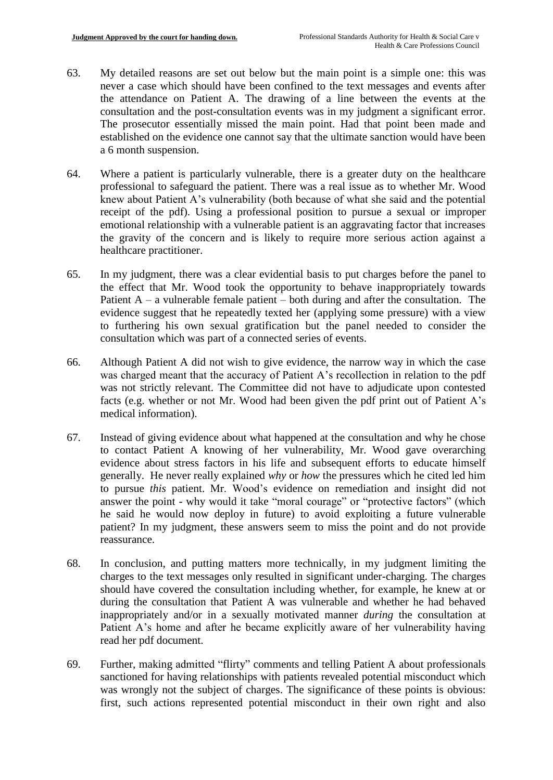- 63. My detailed reasons are set out below but the main point is a simple one: this was never a case which should have been confined to the text messages and events after the attendance on Patient A. The drawing of a line between the events at the consultation and the post-consultation events was in my judgment a significant error. The prosecutor essentially missed the main point. Had that point been made and established on the evidence one cannot say that the ultimate sanction would have been a 6 month suspension.
- 64. Where a patient is particularly vulnerable, there is a greater duty on the healthcare professional to safeguard the patient. There was a real issue as to whether Mr. Wood knew about Patient A's vulnerability (both because of what she said and the potential receipt of the pdf). Using a professional position to pursue a sexual or improper emotional relationship with a vulnerable patient is an aggravating factor that increases the gravity of the concern and is likely to require more serious action against a healthcare practitioner.
- 65. In my judgment, there was a clear evidential basis to put charges before the panel to the effect that Mr. Wood took the opportunity to behave inappropriately towards Patient  $A - a$  vulnerable female patient – both during and after the consultation. The evidence suggest that he repeatedly texted her (applying some pressure) with a view to furthering his own sexual gratification but the panel needed to consider the consultation which was part of a connected series of events.
- 66. Although Patient A did not wish to give evidence, the narrow way in which the case was charged meant that the accuracy of Patient A's recollection in relation to the pdf was not strictly relevant. The Committee did not have to adjudicate upon contested facts (e.g. whether or not Mr. Wood had been given the pdf print out of Patient A's medical information).
- 67. Instead of giving evidence about what happened at the consultation and why he chose to contact Patient A knowing of her vulnerability, Mr. Wood gave overarching evidence about stress factors in his life and subsequent efforts to educate himself generally. He never really explained *why* or *how* the pressures which he cited led him to pursue *this* patient. Mr. Wood's evidence on remediation and insight did not answer the point - why would it take "moral courage" or "protective factors" (which he said he would now deploy in future) to avoid exploiting a future vulnerable patient? In my judgment, these answers seem to miss the point and do not provide reassurance.
- 68. In conclusion, and putting matters more technically, in my judgment limiting the charges to the text messages only resulted in significant under-charging. The charges should have covered the consultation including whether, for example, he knew at or during the consultation that Patient A was vulnerable and whether he had behaved inappropriately and/or in a sexually motivated manner *during* the consultation at Patient A's home and after he became explicitly aware of her vulnerability having read her pdf document.
- 69. Further, making admitted "flirty" comments and telling Patient A about professionals sanctioned for having relationships with patients revealed potential misconduct which was wrongly not the subject of charges. The significance of these points is obvious: first, such actions represented potential misconduct in their own right and also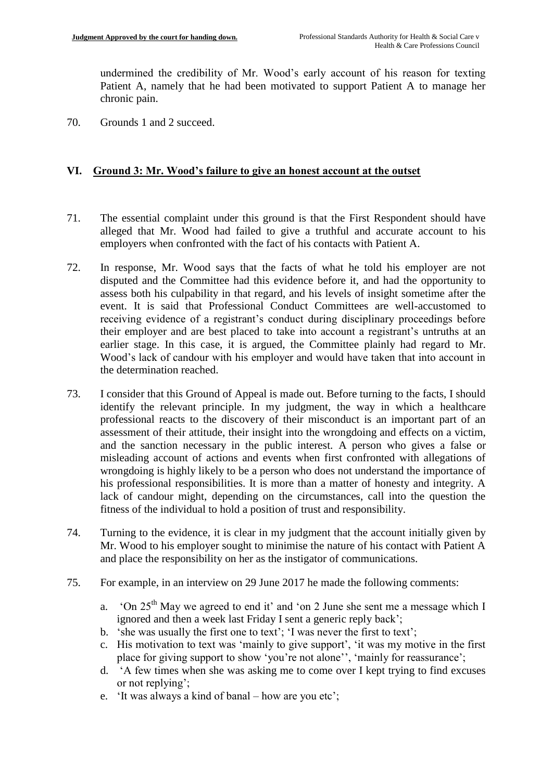undermined the credibility of Mr. Wood's early account of his reason for texting Patient A, namely that he had been motivated to support Patient A to manage her chronic pain.

70. Grounds 1 and 2 succeed.

### **VI. Ground 3: Mr. Wood's failure to give an honest account at the outset**

- 71. The essential complaint under this ground is that the First Respondent should have alleged that Mr. Wood had failed to give a truthful and accurate account to his employers when confronted with the fact of his contacts with Patient A.
- 72. In response, Mr. Wood says that the facts of what he told his employer are not disputed and the Committee had this evidence before it, and had the opportunity to assess both his culpability in that regard, and his levels of insight sometime after the event. It is said that Professional Conduct Committees are well-accustomed to receiving evidence of a registrant's conduct during disciplinary proceedings before their employer and are best placed to take into account a registrant's untruths at an earlier stage. In this case, it is argued, the Committee plainly had regard to Mr. Wood's lack of candour with his employer and would have taken that into account in the determination reached.
- 73. I consider that this Ground of Appeal is made out. Before turning to the facts, I should identify the relevant principle. In my judgment, the way in which a healthcare professional reacts to the discovery of their misconduct is an important part of an assessment of their attitude, their insight into the wrongdoing and effects on a victim, and the sanction necessary in the public interest. A person who gives a false or misleading account of actions and events when first confronted with allegations of wrongdoing is highly likely to be a person who does not understand the importance of his professional responsibilities. It is more than a matter of honesty and integrity. A lack of candour might, depending on the circumstances, call into the question the fitness of the individual to hold a position of trust and responsibility.
- 74. Turning to the evidence, it is clear in my judgment that the account initially given by Mr. Wood to his employer sought to minimise the nature of his contact with Patient A and place the responsibility on her as the instigator of communications.
- 75. For example, in an interview on 29 June 2017 he made the following comments:
	- a. 'On  $25<sup>th</sup>$  May we agreed to end it' and 'on 2 June she sent me a message which I ignored and then a week last Friday I sent a generic reply back';
	- b. 'she was usually the first one to text'; 'I was never the first to text';
	- c. His motivation to text was 'mainly to give support', 'it was my motive in the first place for giving support to show 'you're not alone'', 'mainly for reassurance';
	- d. 'A few times when she was asking me to come over I kept trying to find excuses or not replying';
	- e. 'It was always a kind of banal how are you etc';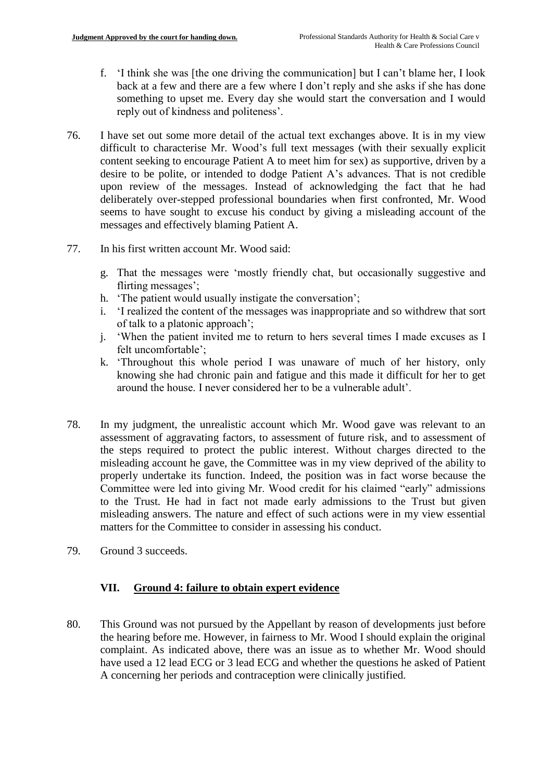- f. 'I think she was [the one driving the communication] but I can't blame her, I look back at a few and there are a few where I don't reply and she asks if she has done something to upset me. Every day she would start the conversation and I would reply out of kindness and politeness'.
- 76. I have set out some more detail of the actual text exchanges above. It is in my view difficult to characterise Mr. Wood's full text messages (with their sexually explicit content seeking to encourage Patient A to meet him for sex) as supportive, driven by a desire to be polite, or intended to dodge Patient A's advances. That is not credible upon review of the messages. Instead of acknowledging the fact that he had deliberately over-stepped professional boundaries when first confronted, Mr. Wood seems to have sought to excuse his conduct by giving a misleading account of the messages and effectively blaming Patient A.
- 77. In his first written account Mr. Wood said:
	- g. That the messages were 'mostly friendly chat, but occasionally suggestive and flirting messages';
	- h. 'The patient would usually instigate the conversation';
	- i. 'I realized the content of the messages was inappropriate and so withdrew that sort of talk to a platonic approach';
	- j. 'When the patient invited me to return to hers several times I made excuses as I felt uncomfortable';
	- k. 'Throughout this whole period I was unaware of much of her history, only knowing she had chronic pain and fatigue and this made it difficult for her to get around the house. I never considered her to be a vulnerable adult'.
- 78. In my judgment, the unrealistic account which Mr. Wood gave was relevant to an assessment of aggravating factors, to assessment of future risk, and to assessment of the steps required to protect the public interest. Without charges directed to the misleading account he gave, the Committee was in my view deprived of the ability to properly undertake its function. Indeed, the position was in fact worse because the Committee were led into giving Mr. Wood credit for his claimed "early" admissions to the Trust. He had in fact not made early admissions to the Trust but given misleading answers. The nature and effect of such actions were in my view essential matters for the Committee to consider in assessing his conduct.
- 79. Ground 3 succeeds.

# **VII. Ground 4: failure to obtain expert evidence**

80. This Ground was not pursued by the Appellant by reason of developments just before the hearing before me. However, in fairness to Mr. Wood I should explain the original complaint. As indicated above, there was an issue as to whether Mr. Wood should have used a 12 lead ECG or 3 lead ECG and whether the questions he asked of Patient A concerning her periods and contraception were clinically justified.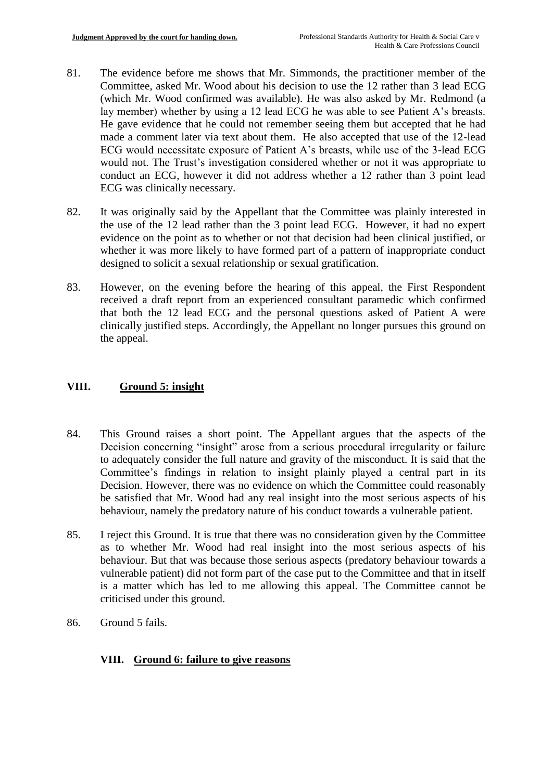- 81. The evidence before me shows that Mr. Simmonds, the practitioner member of the Committee, asked Mr. Wood about his decision to use the 12 rather than 3 lead ECG (which Mr. Wood confirmed was available). He was also asked by Mr. Redmond (a lay member) whether by using a 12 lead ECG he was able to see Patient A's breasts. He gave evidence that he could not remember seeing them but accepted that he had made a comment later via text about them. He also accepted that use of the 12-lead ECG would necessitate exposure of Patient A's breasts, while use of the 3-lead ECG would not. The Trust's investigation considered whether or not it was appropriate to conduct an ECG, however it did not address whether a 12 rather than 3 point lead ECG was clinically necessary.
- 82. It was originally said by the Appellant that the Committee was plainly interested in the use of the 12 lead rather than the 3 point lead ECG. However, it had no expert evidence on the point as to whether or not that decision had been clinical justified, or whether it was more likely to have formed part of a pattern of inappropriate conduct designed to solicit a sexual relationship or sexual gratification.
- 83. However, on the evening before the hearing of this appeal, the First Respondent received a draft report from an experienced consultant paramedic which confirmed that both the 12 lead ECG and the personal questions asked of Patient A were clinically justified steps. Accordingly, the Appellant no longer pursues this ground on the appeal.

### **VIII. Ground 5: insight**

- 84. This Ground raises a short point. The Appellant argues that the aspects of the Decision concerning "insight" arose from a serious procedural irregularity or failure to adequately consider the full nature and gravity of the misconduct. It is said that the Committee's findings in relation to insight plainly played a central part in its Decision. However, there was no evidence on which the Committee could reasonably be satisfied that Mr. Wood had any real insight into the most serious aspects of his behaviour, namely the predatory nature of his conduct towards a vulnerable patient.
- 85. I reject this Ground. It is true that there was no consideration given by the Committee as to whether Mr. Wood had real insight into the most serious aspects of his behaviour. But that was because those serious aspects (predatory behaviour towards a vulnerable patient) did not form part of the case put to the Committee and that in itself is a matter which has led to me allowing this appeal. The Committee cannot be criticised under this ground.
- 86. Ground 5 fails.

### **VIII. Ground 6: failure to give reasons**